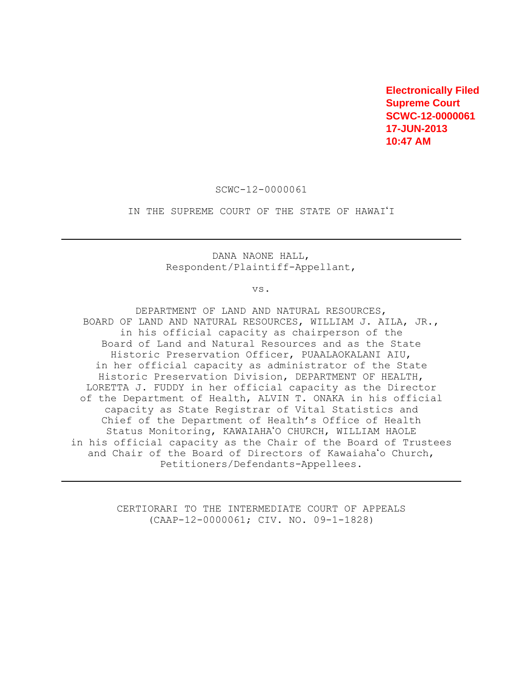**Electronically Filed Supreme Court SCWC-12-0000061 17-JUN-2013 10:47 AM**

SCWC-12-0000061

IN THE SUPREME COURT OF THE STATE OF HAWAI'I

DANA NAONE HALL, Respondent/Plaintiff-Appellant,

vs.

DEPARTMENT OF LAND AND NATURAL RESOURCES, BOARD OF LAND AND NATURAL RESOURCES, WILLIAM J. AILA, JR., in his official capacity as chairperson of the Board of Land and Natural Resources and as the State Historic Preservation Officer, PUAALAOKALANI AIU, in her official capacity as administrator of the State Historic Preservation Division, DEPARTMENT OF HEALTH, LORETTA J. FUDDY in her official capacity as the Director of the Department of Health, ALVIN T. ONAKA in his official capacity as State Registrar of Vital Statistics and Chief of the Department of Health's Office of Health Status Monitoring, KAWAIAHA'O CHURCH, WILLIAM HAOLE in his official capacity as the Chair of the Board of Trustees and Chair of the Board of Directors of Kawaiaha<sup>'</sup>o Church, Petitioners/Defendants-Appellees.

> CERTIORARI TO THE INTERMEDIATE COURT OF APPEALS (CAAP-12-0000061; CIV. NO. 09-1-1828)